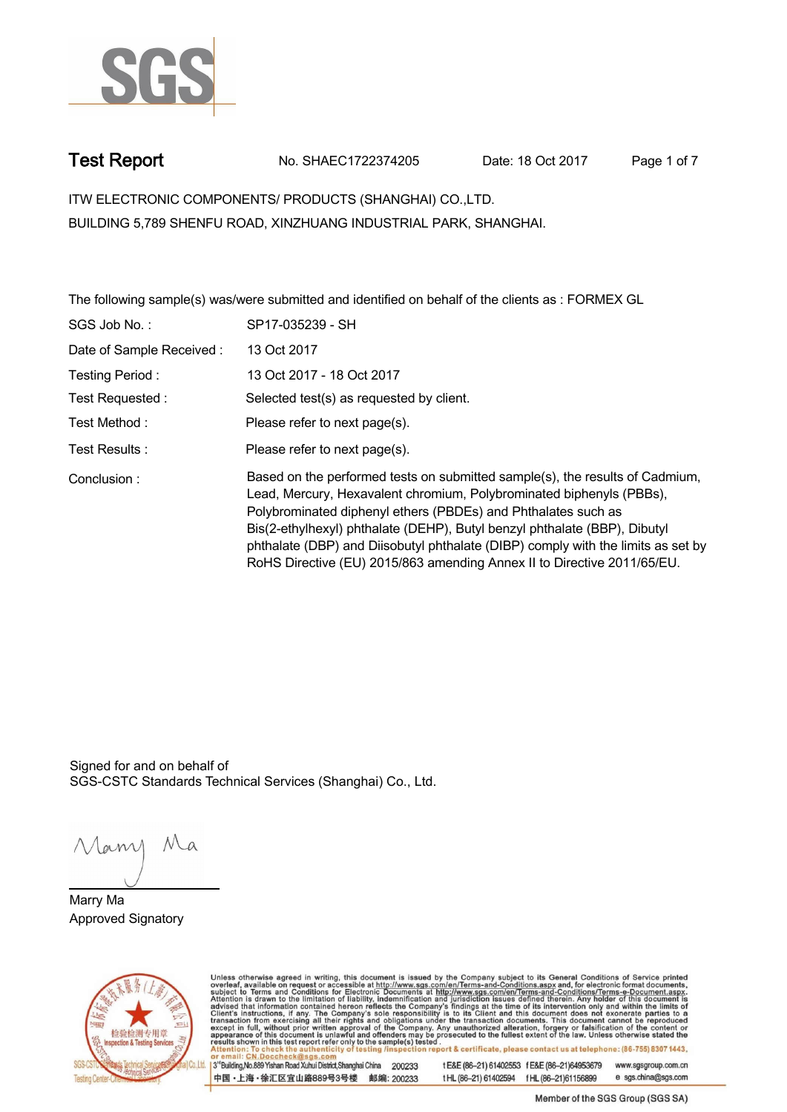

**Test Report. No. SHAEC1722374205 Date: 18 Oct 2017. Page 1 of 7.**

**ITW ELECTRONIC COMPONENTS/ PRODUCTS (SHANGHAI) CO.,LTD. . BUILDING 5,789 SHENFU ROAD, XINZHUANG INDUSTRIAL PARK, SHANGHAI.**

**The following sample(s) was/were submitted and identified on behalf of the clients as : FORMEX GL .**

| SGS Job No.:             | SP17-035239 - SH                                                                                                                                                                                                                                                                                                                                                                                                                                                  |
|--------------------------|-------------------------------------------------------------------------------------------------------------------------------------------------------------------------------------------------------------------------------------------------------------------------------------------------------------------------------------------------------------------------------------------------------------------------------------------------------------------|
| Date of Sample Received: | 13 Oct 2017                                                                                                                                                                                                                                                                                                                                                                                                                                                       |
| Testing Period:          | 13 Oct 2017 - 18 Oct 2017                                                                                                                                                                                                                                                                                                                                                                                                                                         |
| Test Requested:          | Selected test(s) as requested by client.                                                                                                                                                                                                                                                                                                                                                                                                                          |
| Test Method:             | Please refer to next page(s).                                                                                                                                                                                                                                                                                                                                                                                                                                     |
| Test Results:            | Please refer to next page(s).                                                                                                                                                                                                                                                                                                                                                                                                                                     |
| Conclusion:              | Based on the performed tests on submitted sample(s), the results of Cadmium,<br>Lead, Mercury, Hexavalent chromium, Polybrominated biphenyls (PBBs),<br>Polybrominated diphenyl ethers (PBDEs) and Phthalates such as<br>Bis(2-ethylhexyl) phthalate (DEHP), Butyl benzyl phthalate (BBP), Dibutyl<br>phthalate (DBP) and Diisobutyl phthalate (DIBP) comply with the limits as set by<br>RoHS Directive (EU) 2015/863 amending Annex II to Directive 2011/65/EU. |

Signed for and on behalf of SGS-CSTC Standards Technical Services (Shanghai) Co., Ltd..

Many Ma

**Marry Ma. Approved Signatory .**



Unless otherwise agreed in writing, this document is issued by the Company subject to its General Conditions of Service printed overleaf, available on request or accessible at http://www.sgs.com/en/Terms-and-Conditions.asp

3<sup>rd</sup>Building, No.889 Yishan Road Xuhui District, Shanghai China 200233 中国·上海·徐汇区宜山路889号3号楼 邮编: 200233

tE&E (86-21) 61402553 fE&E (86-21)64953679 www.sgsgroup.com.cn tHL (86-21) 61402594 fHL (86-21) 61156899 e sgs.china@sgs.com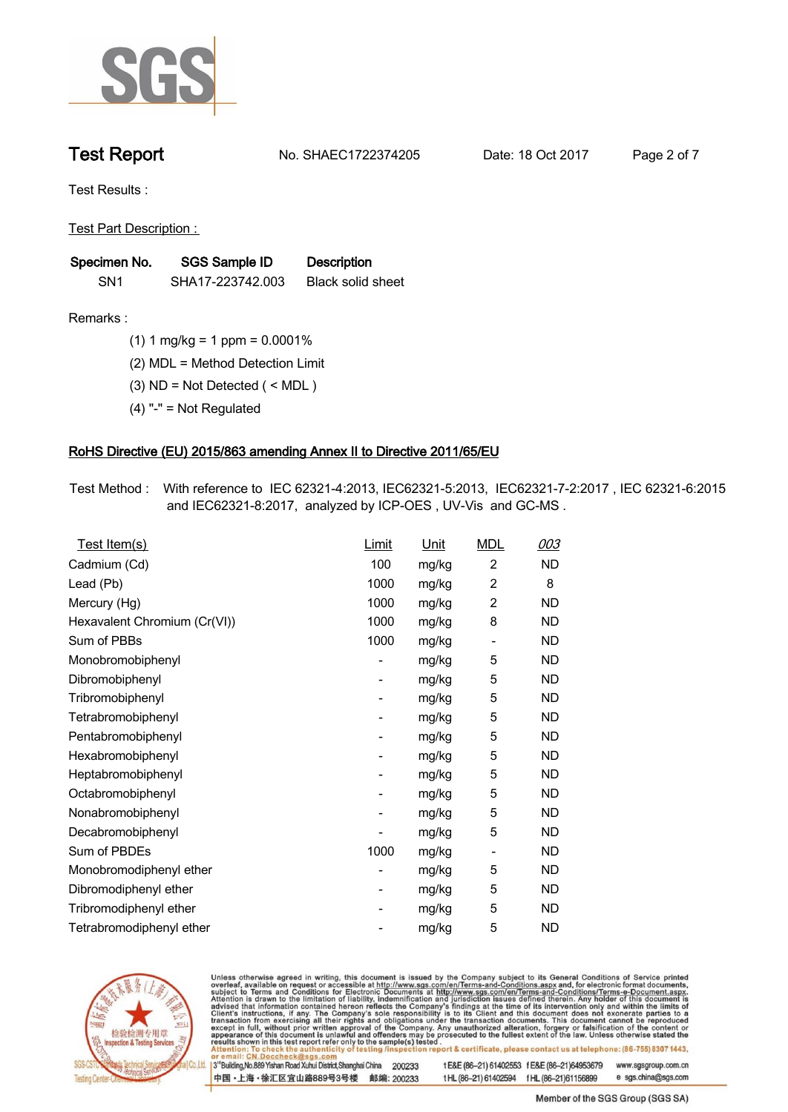

**Test Report. No. SHAEC1722374205 Date: 18 Oct 2017. Page 2 of 7.**

**Test Results :.**

**Test Part Description : .**

| Specimen No.    | SGS Sample ID    | <b>Description</b> |  |
|-----------------|------------------|--------------------|--|
| SN <sub>1</sub> | SHA17-223742.003 | Black solid sheet  |  |

- **Remarks :.(1) 1 mg/kg = 1 ppm = 0.0001% .**
	- **(2) MDL = Method Detection Limit .**
	- **(3) ND = Not Detected ( < MDL ) .**
	- **(4) "-" = Not Regulated .**

### **RoHS Directive (EU) 2015/863 amending Annex II to Directive 2011/65/EU.**

**Test Method :. With reference to IEC 62321-4:2013, IEC62321-5:2013, IEC62321-7-2:2017 , IEC 62321-6:2015 and IEC62321-8:2017, analyzed by ICP-OES , UV-Vis and GC-MS . .**

| <u>Test Item(s)</u>          | <u>Limit</u>             | <u>Unit</u> | <b>MDL</b>               | 003       |
|------------------------------|--------------------------|-------------|--------------------------|-----------|
| Cadmium (Cd)                 | 100                      | mg/kg       | $\overline{c}$           | <b>ND</b> |
| Lead (Pb)                    | 1000                     | mg/kg       | 2                        | 8         |
| Mercury (Hg)                 | 1000                     | mg/kg       | 2                        | <b>ND</b> |
| Hexavalent Chromium (Cr(VI)) | 1000                     | mg/kg       | 8                        | ND        |
| Sum of PBBs                  | 1000                     | mg/kg       | $\overline{\phantom{a}}$ | <b>ND</b> |
| Monobromobiphenyl            | -                        | mg/kg       | 5                        | <b>ND</b> |
| Dibromobiphenyl              | $\overline{\phantom{0}}$ | mg/kg       | 5                        | <b>ND</b> |
| Tribromobiphenyl             | $\overline{\phantom{0}}$ | mg/kg       | 5                        | <b>ND</b> |
| Tetrabromobiphenyl           | -                        | mg/kg       | 5                        | ND        |
| Pentabromobiphenyl           | $\overline{\phantom{0}}$ | mg/kg       | 5                        | ND        |
| Hexabromobiphenyl            | -                        | mg/kg       | 5                        | ND        |
| Heptabromobiphenyl           | $\overline{\phantom{a}}$ | mg/kg       | 5                        | <b>ND</b> |
| Octabromobiphenyl            | -                        | mg/kg       | 5                        | <b>ND</b> |
| Nonabromobiphenyl            | -                        | mg/kg       | 5                        | ND        |
| Decabromobiphenyl            | $\overline{a}$           | mg/kg       | 5                        | <b>ND</b> |
| Sum of PBDEs                 | 1000                     | mg/kg       | $\overline{\phantom{a}}$ | <b>ND</b> |
| Monobromodiphenyl ether      | -                        | mg/kg       | 5                        | ND        |
| Dibromodiphenyl ether        | ۰                        | mg/kg       | 5                        | <b>ND</b> |
| Tribromodiphenyl ether       | -                        | mg/kg       | 5                        | ND        |
| Tetrabromodiphenyl ether     |                          | mg/kg       | 5                        | <b>ND</b> |



Unless otherwise agreed in writing, this document is issued by the Company subject to its General Conditions of Service printed overleaf, available on request or accessible at http://www.sgs.com/en/Terms-and-Conditions.asp

3<sup>rd</sup>Building, No.889 Yishan Road Xuhui District, Shanghai China 200233 中国·上海·徐汇区宜山路889号3号楼 邮编: 200233 t E&E (86-21) 61402553 f E&E (86-21)64953679 www.sgsgroup.com.cn

t HL (86-21) 61402594 f HL (86-21) 61156899 e sgs.china@sgs.com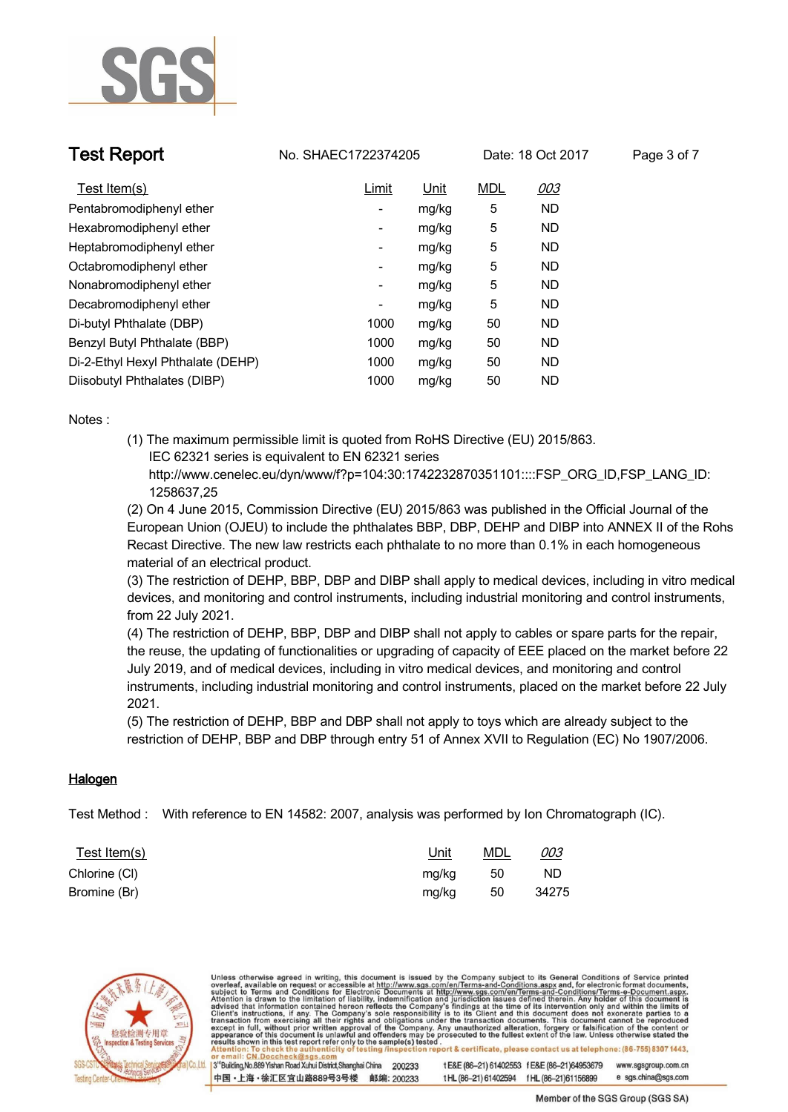

**Test Report No. SHAEC1722374205** Date: 18 Oct 2017 Page 3 of 7

| Test Item(s)                      | Limit                    | Unit  | <b>MDL</b> | 003       |
|-----------------------------------|--------------------------|-------|------------|-----------|
| Pentabromodiphenyl ether          | ٠                        | mg/kg | 5          | <b>ND</b> |
| Hexabromodiphenyl ether           | $\overline{\phantom{a}}$ | mg/kg | 5          | <b>ND</b> |
| Heptabromodiphenyl ether          | ۰                        | mg/kg | 5          | <b>ND</b> |
| Octabromodiphenyl ether           | -                        | mg/kg | 5          | <b>ND</b> |
| Nonabromodiphenyl ether           | $\overline{\phantom{a}}$ | mg/kg | 5          | <b>ND</b> |
| Decabromodiphenyl ether           | ۰                        | mg/kg | 5          | <b>ND</b> |
| Di-butyl Phthalate (DBP)          | 1000                     | mg/kg | 50         | <b>ND</b> |
| Benzyl Butyl Phthalate (BBP)      | 1000                     | mg/kg | 50         | <b>ND</b> |
| Di-2-Ethyl Hexyl Phthalate (DEHP) | 1000                     | mg/kg | 50         | ND.       |
| Diisobutyl Phthalates (DIBP)      | 1000                     | mg/kg | 50         | <b>ND</b> |

**Notes :.**

**(1) The maximum permissible limit is quoted from RoHS Directive (EU) 2015/863. IEC 62321 series is equivalent to EN 62321 series**

 **http://www.cenelec.eu/dyn/www/f?p=104:30:1742232870351101::::FSP\_ORG\_ID,FSP\_LANG\_ID: 1258637,25**

**(2) On 4 June 2015, Commission Directive (EU) 2015/863 was published in the Official Journal of the European Union (OJEU) to include the phthalates BBP, DBP, DEHP and DIBP into ANNEX II of the Rohs Recast Directive. The new law restricts each phthalate to no more than 0.1% in each homogeneous material of an electrical product.** 

**(3) The restriction of DEHP, BBP, DBP and DIBP shall apply to medical devices, including in vitro medical devices, and monitoring and control instruments, including industrial monitoring and control instruments, from 22 July 2021.**

**(4) The restriction of DEHP, BBP, DBP and DIBP shall not apply to cables or spare parts for the repair, the reuse, the updating of functionalities or upgrading of capacity of EEE placed on the market before 22 July 2019, and of medical devices, including in vitro medical devices, and monitoring and control instruments, including industrial monitoring and control instruments, placed on the market before 22 July 2021.** 

**(5) The restriction of DEHP, BBP and DBP shall not apply to toys which are already subject to the restriction of DEHP, BBP and DBP through entry 51 of Annex XVII to Regulation (EC) No 1907/2006. .**

### **Halogen.**

**Test Method :. With reference to EN 14582: 2007, analysis was performed by Ion Chromatograph (IC). .**

| <u>Test Item(s)</u> | <u>Unit</u> | <b>MDL</b> | <u>003</u> |
|---------------------|-------------|------------|------------|
| Chlorine (CI)       | mg/kg       | -50        | <b>ND</b>  |
| Bromine (Br)        | mg/kg       | 50         | 34275      |



Unless otherwise agreed in writing, this document is issued by the Company subject to its General Conditions of Service printed<br>overleaf, available on request or accessible at http://www.sgs.com/en/Terms-and-Conditions.asp report & certificate, please contact us at telephone: (86-755) 8307 1443, 3<sup>rd</sup> Building, No.889 Yishan Road Xuhui District, Shanghai China t E&E (86-21) 61402553 f E&E (86-21)64953679 www.sgsgroup.com.cn 200233 中国·上海·徐汇区宜山路889号3号楼 邮编: 200233 e sgs.china@sgs.com

tHL (86-21) 61402594 fHL (86-21) 61156899

Member of the SGS Group (SGS SA)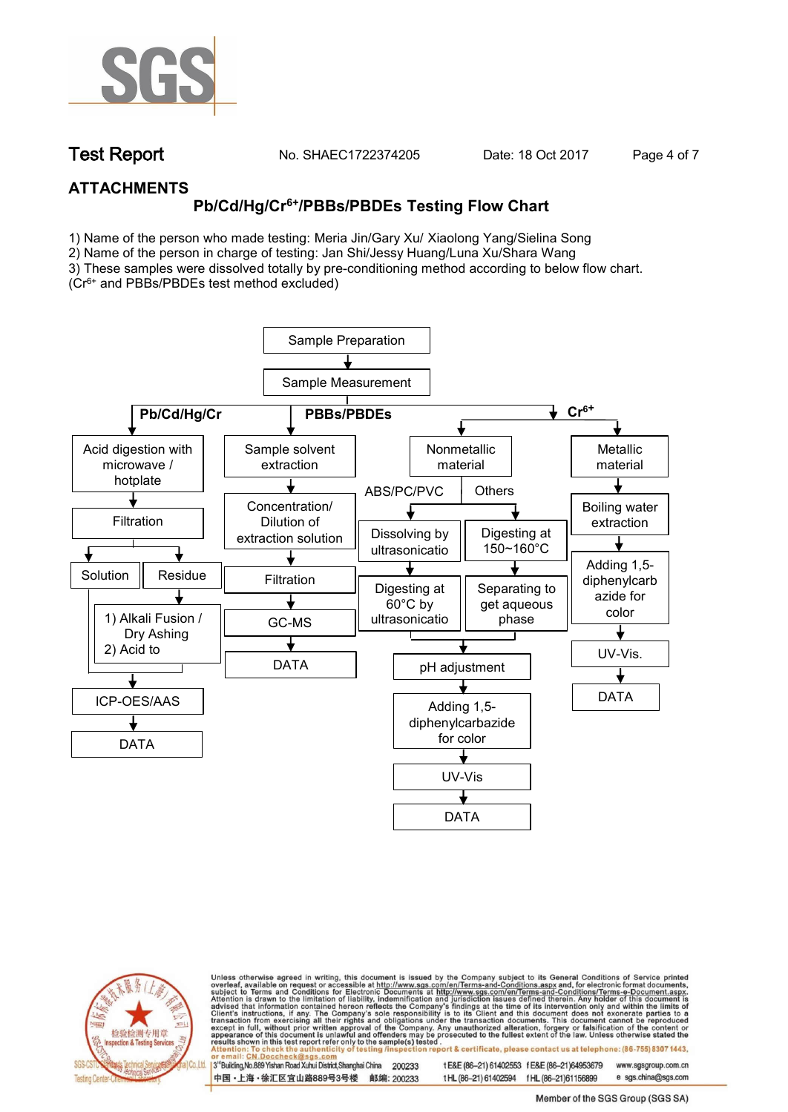

**Test Report. No. SHAEC1722374205 Date: 18 Oct 2017. Page 4 of 7.**

## **ATTACHMENTS**

# **Pb/Cd/Hg/Cr6+/PBBs/PBDEs Testing Flow Chart**

1) Name of the person who made testing: Meria Jin/Gary Xu/ Xiaolong Yang/Sielina Song

2) Name of the person in charge of testing: Jan Shi/Jessy Huang/Luna Xu/Shara Wang

3) These samples were dissolved totally by pre-conditioning method according to below flow chart. (Cr6+ and PBBs/PBDEs test method excluded)





Unless otherwise agreed in writing, this document is issued by the Company subject to its General Conditions of Service printed overleaf, available on request or accessible at http://www.sgs.com/en/Terms-and-Conditions.asp ion report & certificate, please contact us at telephone: (86-755) 8307 1443, esting/ins

13<sup>rd</sup> Building, No.889 Yishan Road Xuhui District, Shanghai China 200233 中国·上海·徐汇区宜山路889号3号楼 邮编: 200233 tE&E (86-21) 61402553 fE&E (86-21)64953679 www.sgsgroup.com.cn

t HL (86-21) 61402594 f HL (86-21)61156899 e sgs.china@sgs.com Member of the SGS Group (SGS SA)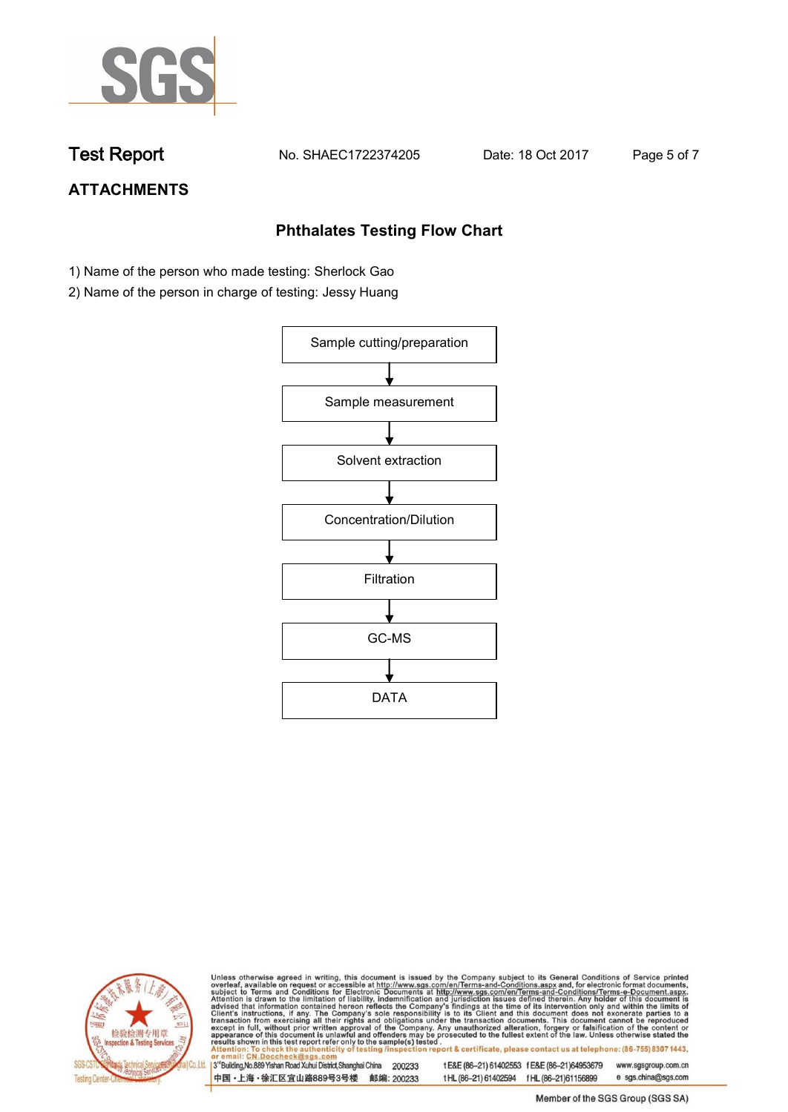

**Test Report. No. SHAEC1722374205 Date: 18 Oct 2017. Page 5 of 7.**

# **ATTACHMENTS**

### **Phthalates Testing Flow Chart**

- 1) Name of the person who made testing: Sherlock Gao
- 2) Name of the person in charge of testing: Jessy Huang





Unless otherwise agreed in writing, this document is issued by the Company subject to its General Conditions of Service printed overleaf, available on request or accessible at http://www.sgs.com/en/Terms-and-Conditions.asp

3<sup>rd</sup>Building, No.889 Yishan Road Xuhui District, Shanghai China 200233 中国·上海·徐汇区宜山路889号3号楼 邮编: 200233 t E&E (86-21) 61402553 f E&E (86-21)64953679 www.sgsgroup.com.cn t HL (86-21) 61402594 f HL (86-21) 61156899 e sgs.china@sgs.com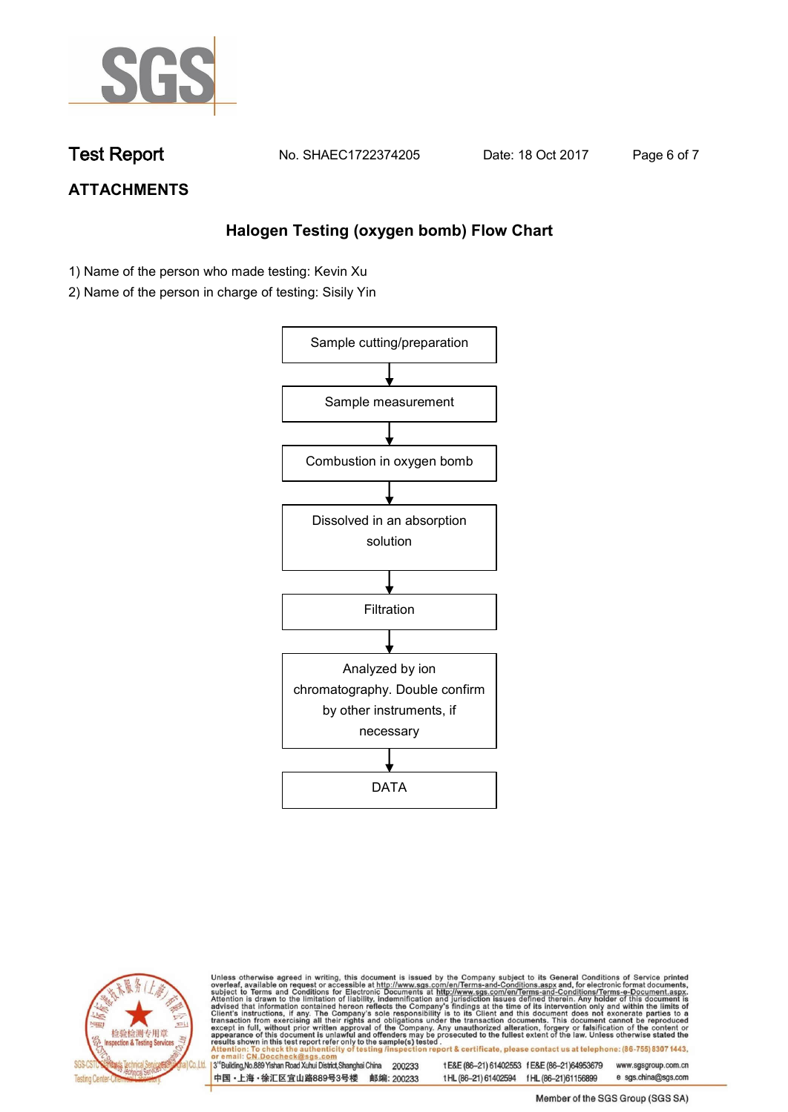

**Test Report. No. SHAEC1722374205 Date: 18 Oct 2017. Page 6 of 7.**

# **ATTACHMENTS**

## **Halogen Testing (oxygen bomb) Flow Chart**

- 1) Name of the person who made testing: Kevin Xu
- 2) Name of the person in charge of testing: Sisily Yin





Unless otherwise agreed in writing, this document is issued by the Company subject to its General Conditions of Service printed<br>overleaf, available on request or accessible at http://www.sgs.com/en/Terms-and-Conditions.asp

3<sup>rd</sup>Building, No.889 Yishan Road Xuhui District, Shanghai China 200233 中国·上海·徐汇区宜山路889号3号楼 邮编: 200233 t E&E (86-21) 61402553 f E&E (86-21)64953679 www.sgsgroup.com.cn t HL (86-21) 61402594 f HL (86-21) 61156899 e sgs.china@sgs.com